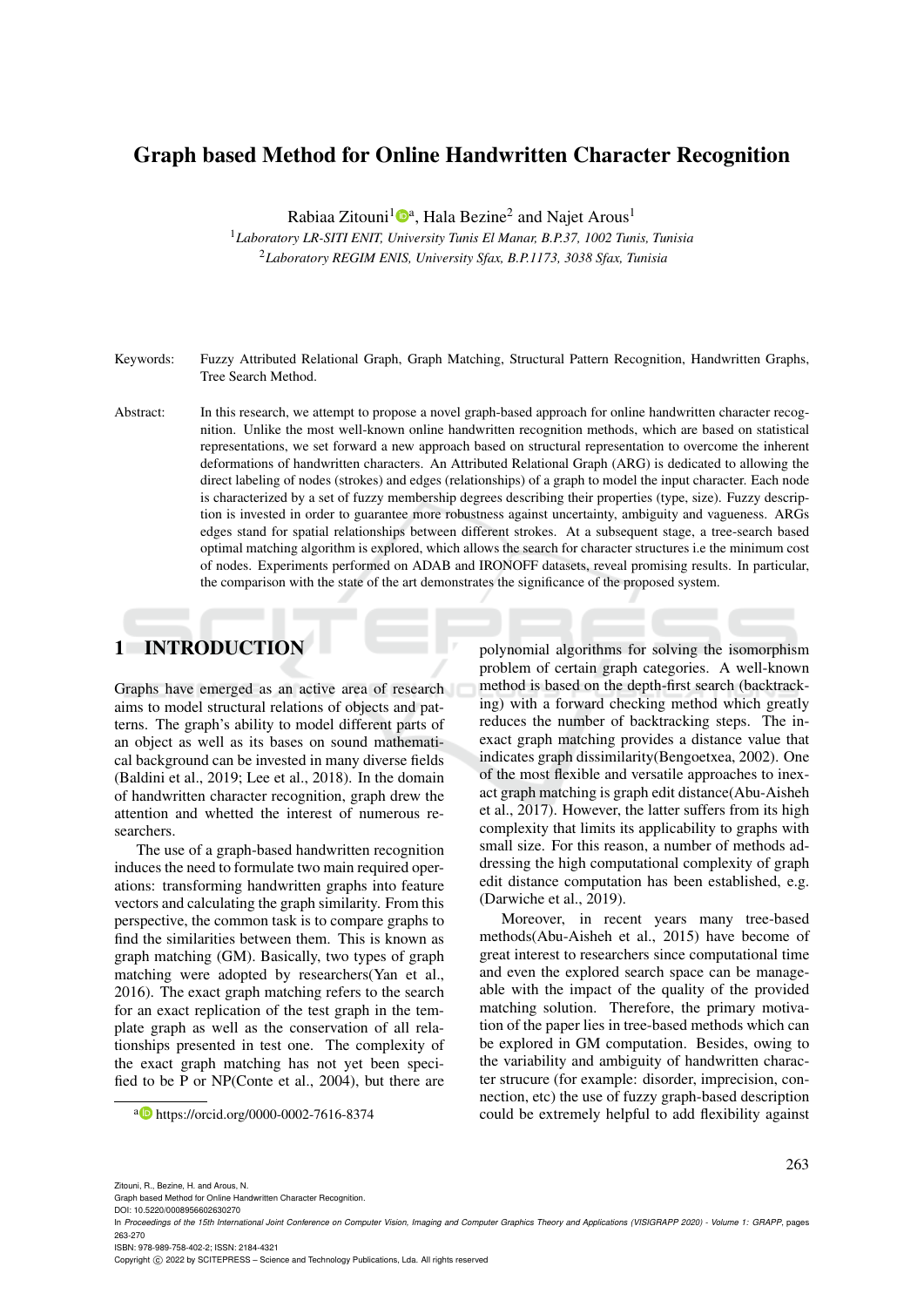# Graph based Method for Online Handwritten Character Recognition

Rabiaa Zitouni<sup>1</sup><sup>®</sup>, Hala Bezine<sup>2</sup> and Najet Arous<sup>1</sup>

<sup>1</sup>*Laboratory LR-SITI ENIT, University Tunis El Manar, B.P.37, 1002 Tunis, Tunisia* <sup>2</sup>*Laboratory REGIM ENIS, University Sfax, B.P.1173, 3038 Sfax, Tunisia*

- Keywords: Fuzzy Attributed Relational Graph, Graph Matching, Structural Pattern Recognition, Handwritten Graphs, Tree Search Method.
- Abstract: In this research, we attempt to propose a novel graph-based approach for online handwritten character recognition. Unlike the most well-known online handwritten recognition methods, which are based on statistical representations, we set forward a new approach based on structural representation to overcome the inherent deformations of handwritten characters. An Attributed Relational Graph (ARG) is dedicated to allowing the direct labeling of nodes (strokes) and edges (relationships) of a graph to model the input character. Each node is characterized by a set of fuzzy membership degrees describing their properties (type, size). Fuzzy description is invested in order to guarantee more robustness against uncertainty, ambiguity and vagueness. ARGs edges stand for spatial relationships between different strokes. At a subsequent stage, a tree-search based optimal matching algorithm is explored, which allows the search for character structures i.e the minimum cost of nodes. Experiments performed on ADAB and IRONOFF datasets, reveal promising results. In particular, the comparison with the state of the art demonstrates the significance of the proposed system.

# 1 INTRODUCTION

Graphs have emerged as an active area of research aims to model structural relations of objects and patterns. The graph's ability to model different parts of an object as well as its bases on sound mathematical background can be invested in many diverse fields (Baldini et al., 2019; Lee et al., 2018). In the domain of handwritten character recognition, graph drew the attention and whetted the interest of numerous researchers.

The use of a graph-based handwritten recognition induces the need to formulate two main required operations: transforming handwritten graphs into feature vectors and calculating the graph similarity. From this perspective, the common task is to compare graphs to find the similarities between them. This is known as graph matching (GM). Basically, two types of graph matching were adopted by researchers(Yan et al., 2016). The exact graph matching refers to the search for an exact replication of the test graph in the template graph as well as the conservation of all relationships presented in test one. The complexity of the exact graph matching has not yet been specified to be P or NP(Conte et al., 2004), but there are

polynomial algorithms for solving the isomorphism problem of certain graph categories. A well-known method is based on the depth-first search (backtracking) with a forward checking method which greatly reduces the number of backtracking steps. The inexact graph matching provides a distance value that indicates graph dissimilarity(Bengoetxea, 2002). One of the most flexible and versatile approaches to inexact graph matching is graph edit distance(Abu-Aisheh et al., 2017). However, the latter suffers from its high complexity that limits its applicability to graphs with small size. For this reason, a number of methods addressing the high computational complexity of graph edit distance computation has been established, e.g. (Darwiche et al., 2019).

Moreover, in recent years many tree-based methods(Abu-Aisheh et al., 2015) have become of great interest to researchers since computational time and even the explored search space can be manageable with the impact of the quality of the provided matching solution. Therefore, the primary motivation of the paper lies in tree-based methods which can be explored in GM computation. Besides, owing to the variability and ambiguity of handwritten character strucure (for example: disorder, imprecision, connection, etc) the use of fuzzy graph-based description could be extremely helpful to add flexibility against

263

<sup>a</sup> https://orcid.org/0000-0002-7616-8374

Zitouni, R., Bezine, H. and Arous, N.

Graph based Method for Online Handwritten Character Recognition.

In *Proceedings of the 15th International Joint Conference on Computer Vision, Imaging and Computer Graphics Theory and Applications (VISIGRAPP 2020) - Volume 1: GRAPP*, pages 263-270

ISBN: 978-989-758-402-2; ISSN: 2184-4321

Copyright (C) 2022 by SCITEPRESS - Science and Technology Publications, Lda. All rights reserved

DOI: 10.5220/0008956602630270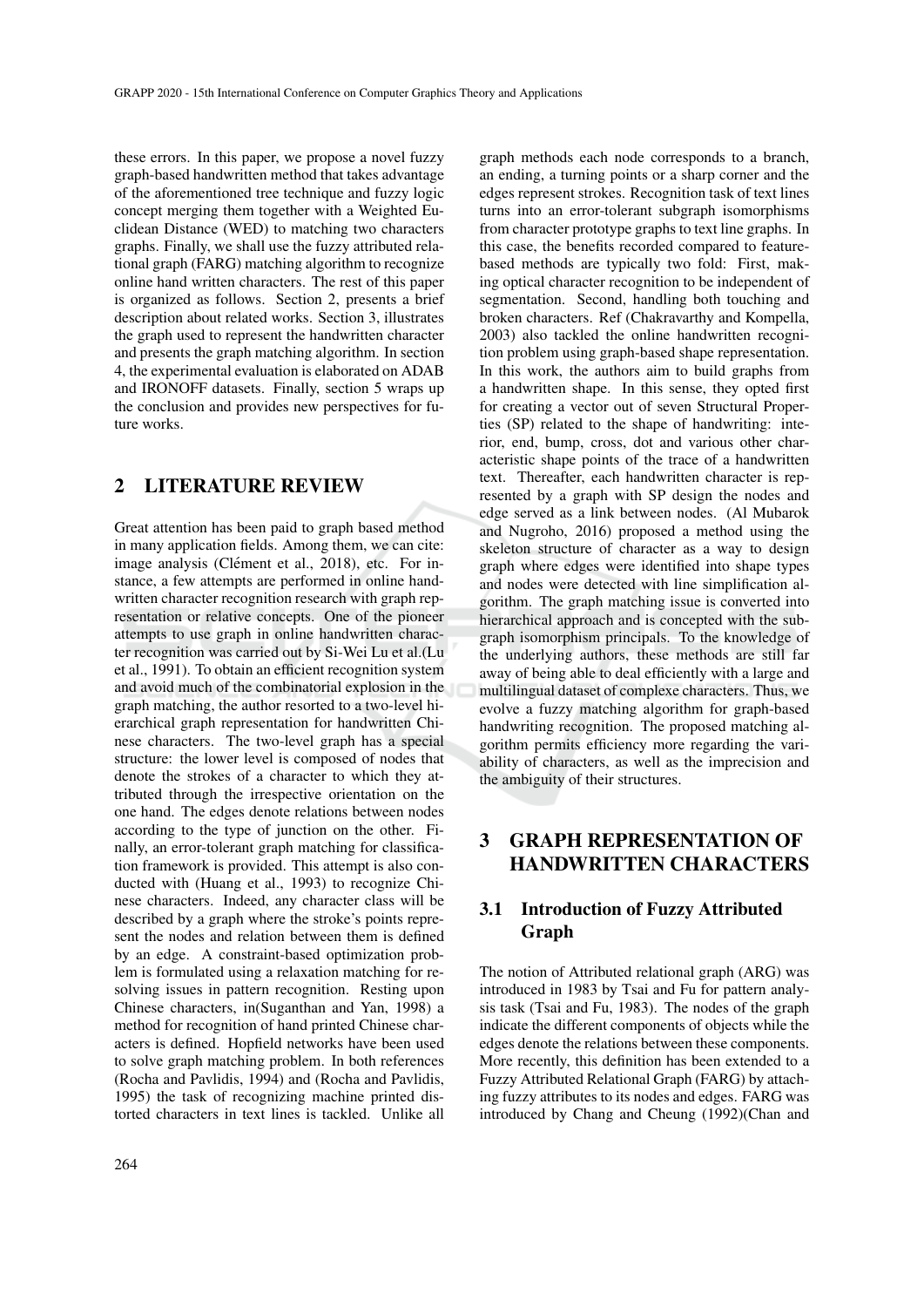these errors. In this paper, we propose a novel fuzzy graph-based handwritten method that takes advantage of the aforementioned tree technique and fuzzy logic concept merging them together with a Weighted Euclidean Distance (WED) to matching two characters graphs. Finally, we shall use the fuzzy attributed relational graph (FARG) matching algorithm to recognize online hand written characters. The rest of this paper is organized as follows. Section 2, presents a brief description about related works. Section 3, illustrates the graph used to represent the handwritten character and presents the graph matching algorithm. In section 4, the experimental evaluation is elaborated on ADAB and IRONOFF datasets. Finally, section 5 wraps up the conclusion and provides new perspectives for future works.

## 2 LITERATURE REVIEW

Great attention has been paid to graph based method in many application fields. Among them, we can cite: image analysis (Clément et al., 2018), etc. For instance, a few attempts are performed in online handwritten character recognition research with graph representation or relative concepts. One of the pioneer attempts to use graph in online handwritten character recognition was carried out by Si-Wei Lu et al.(Lu et al., 1991). To obtain an efficient recognition system and avoid much of the combinatorial explosion in the graph matching, the author resorted to a two-level hierarchical graph representation for handwritten Chinese characters. The two-level graph has a special structure: the lower level is composed of nodes that denote the strokes of a character to which they attributed through the irrespective orientation on the one hand. The edges denote relations between nodes according to the type of junction on the other. Finally, an error-tolerant graph matching for classification framework is provided. This attempt is also conducted with (Huang et al., 1993) to recognize Chinese characters. Indeed, any character class will be described by a graph where the stroke's points represent the nodes and relation between them is defined by an edge. A constraint-based optimization problem is formulated using a relaxation matching for resolving issues in pattern recognition. Resting upon Chinese characters, in(Suganthan and Yan, 1998) a method for recognition of hand printed Chinese characters is defined. Hopfield networks have been used to solve graph matching problem. In both references (Rocha and Pavlidis, 1994) and (Rocha and Pavlidis, 1995) the task of recognizing machine printed distorted characters in text lines is tackled. Unlike all

edges represent strokes. Recognition task of text lines turns into an error-tolerant subgraph isomorphisms from character prototype graphs to text line graphs. In this case, the benefits recorded compared to featurebased methods are typically two fold: First, making optical character recognition to be independent of segmentation. Second, handling both touching and broken characters. Ref (Chakravarthy and Kompella, 2003) also tackled the online handwritten recognition problem using graph-based shape representation. In this work, the authors aim to build graphs from a handwritten shape. In this sense, they opted first for creating a vector out of seven Structural Properties (SP) related to the shape of handwriting: interior, end, bump, cross, dot and various other characteristic shape points of the trace of a handwritten text. Thereafter, each handwritten character is represented by a graph with SP design the nodes and edge served as a link between nodes. (Al Mubarok and Nugroho, 2016) proposed a method using the skeleton structure of character as a way to design graph where edges were identified into shape types and nodes were detected with line simplification algorithm. The graph matching issue is converted into hierarchical approach and is concepted with the subgraph isomorphism principals. To the knowledge of the underlying authors, these methods are still far away of being able to deal efficiently with a large and multilingual dataset of complexe characters. Thus, we evolve a fuzzy matching algorithm for graph-based handwriting recognition. The proposed matching algorithm permits efficiency more regarding the variability of characters, as well as the imprecision and the ambiguity of their structures.

graph methods each node corresponds to a branch, an ending, a turning points or a sharp corner and the

# 3 GRAPH REPRESENTATION OF HANDWRITTEN CHARACTERS

## 3.1 Introduction of Fuzzy Attributed Graph

The notion of Attributed relational graph (ARG) was introduced in 1983 by Tsai and Fu for pattern analysis task (Tsai and Fu, 1983). The nodes of the graph indicate the different components of objects while the edges denote the relations between these components. More recently, this definition has been extended to a Fuzzy Attributed Relational Graph (FARG) by attaching fuzzy attributes to its nodes and edges. FARG was introduced by Chang and Cheung (1992)(Chan and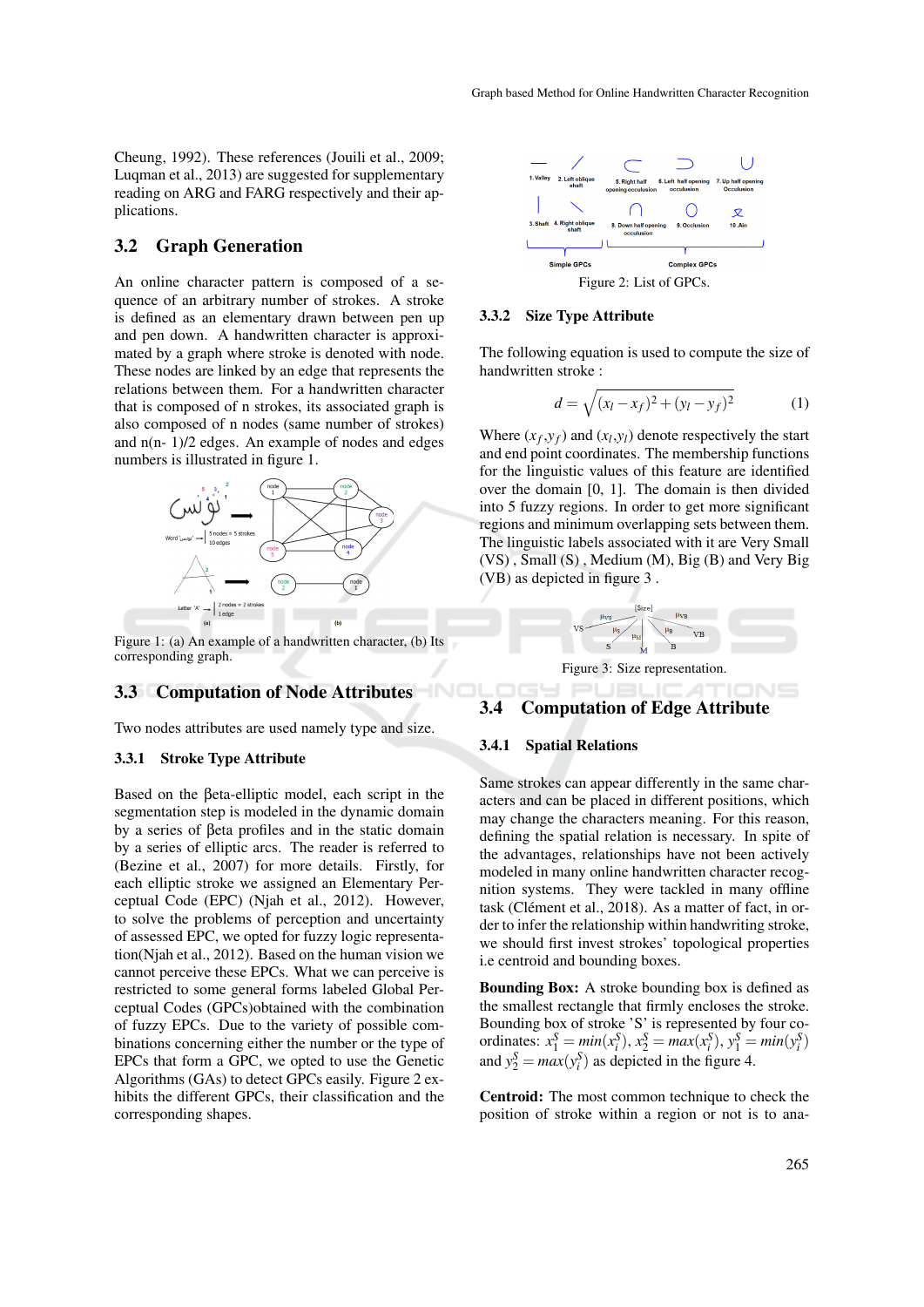Cheung, 1992). These references (Jouili et al., 2009; Luqman et al., 2013) are suggested for supplementary reading on ARG and FARG respectively and their applications.

## 3.2 Graph Generation

An online character pattern is composed of a sequence of an arbitrary number of strokes. A stroke is defined as an elementary drawn between pen up and pen down. A handwritten character is approximated by a graph where stroke is denoted with node. These nodes are linked by an edge that represents the relations between them. For a handwritten character that is composed of n strokes, its associated graph is also composed of n nodes (same number of strokes) and  $n(n-1)/2$  edges. An example of nodes and edges numbers is illustrated in figure 1.



Figure 1: (a) An example of a handwritten character, (b) Its corresponding graph.

### 3.3 Computation of Node Attributes

Two nodes attributes are used namely type and size.

### 3.3.1 Stroke Type Attribute

Based on the βeta-elliptic model, each script in the segmentation step is modeled in the dynamic domain by a series of βeta profiles and in the static domain by a series of elliptic arcs. The reader is referred to (Bezine et al., 2007) for more details. Firstly, for each elliptic stroke we assigned an Elementary Perceptual Code (EPC) (Njah et al., 2012). However, to solve the problems of perception and uncertainty of assessed EPC, we opted for fuzzy logic representation(Njah et al., 2012). Based on the human vision we cannot perceive these EPCs. What we can perceive is restricted to some general forms labeled Global Perceptual Codes (GPCs)obtained with the combination of fuzzy EPCs. Due to the variety of possible combinations concerning either the number or the type of EPCs that form a GPC, we opted to use the Genetic Algorithms (GAs) to detect GPCs easily. Figure 2 exhibits the different GPCs, their classification and the corresponding shapes.



#### 3.3.2 Size Type Attribute

The following equation is used to compute the size of handwritten stroke :

$$
d = \sqrt{(x_l - x_f)^2 + (y_l - y_f)^2}
$$
 (1)

Where  $(x_f, y_f)$  and  $(x_l, y_l)$  denote respectively the start and end point coordinates. The membership functions for the linguistic values of this feature are identified over the domain [0, 1]. The domain is then divided into 5 fuzzy regions. In order to get more significant regions and minimum overlapping sets between them. The linguistic labels associated with it are Very Small (VS) , Small (S) , Medium (M), Big (B) and Very Big (VB) as depicted in figure 3 .



### 3.4 Computation of Edge Attribute

#### 3.4.1 Spatial Relations

-INC

Same strokes can appear differently in the same characters and can be placed in different positions, which may change the characters meaning. For this reason, defining the spatial relation is necessary. In spite of the advantages, relationships have not been actively modeled in many online handwritten character recognition systems. They were tackled in many offline task (Clément et al., 2018). As a matter of fact, in order to infer the relationship within handwriting stroke, we should first invest strokes' topological properties i.e centroid and bounding boxes.

Bounding Box: A stroke bounding box is defined as the smallest rectangle that firmly encloses the stroke. Bounding box of stroke 'S' is represented by four coordinates:  $x_1^S = min(x_i^S), x_2^S = max(x_i^S), y_1^S = min(y_i^S)$ and  $y_2^S = max(y_i^S)$  as depicted in the figure 4.

Centroid: The most common technique to check the position of stroke within a region or not is to ana-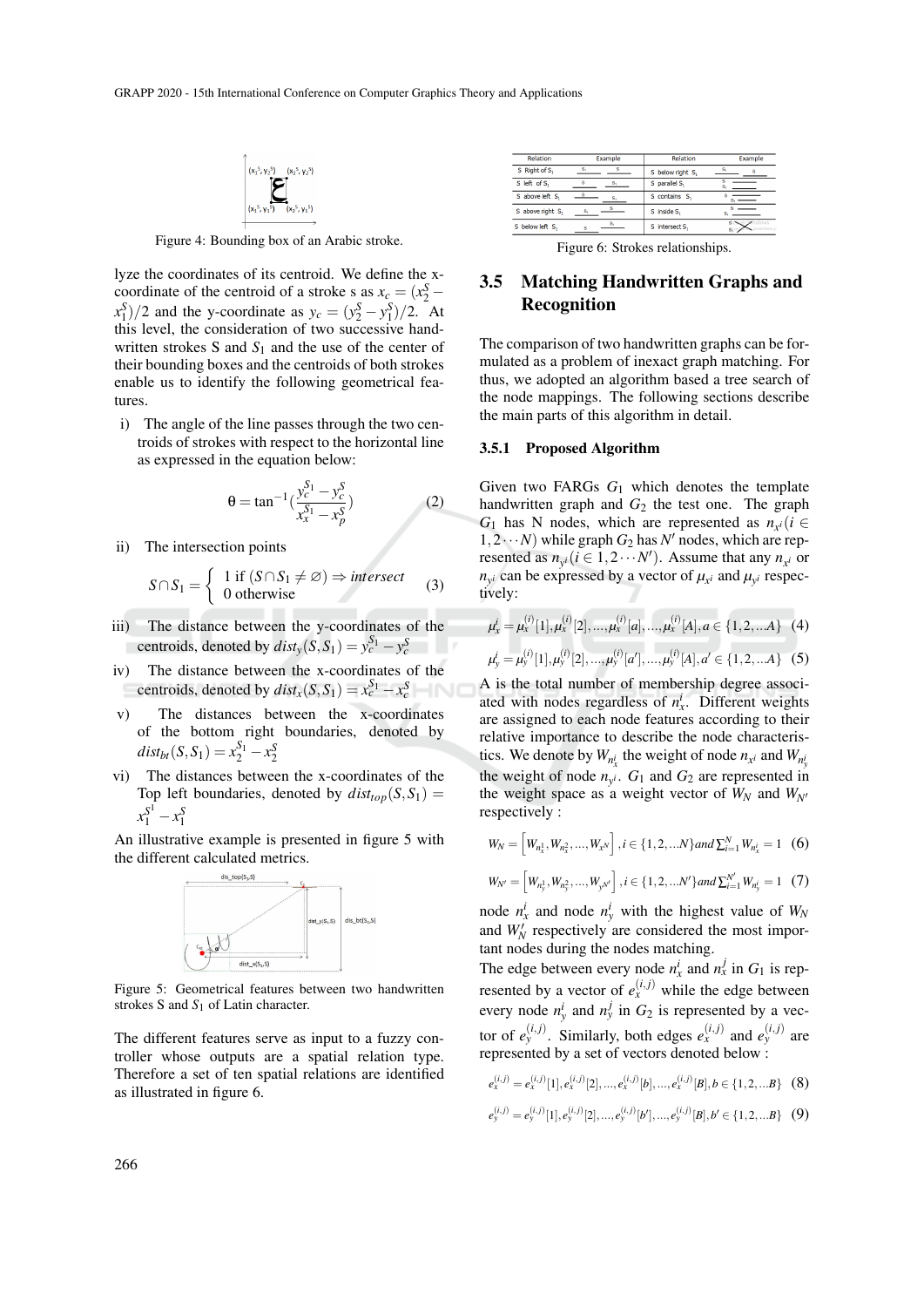

Figure 4: Bounding box of an Arabic stroke.

lyze the coordinates of its centroid. We define the xcoordinate of the centroid of a stroke s as  $x_c = (x_2^S (x_1^S)/2$  and the y-coordinate as  $y_c = (y_2^S - y_1^S)/2$ . At this level, the consideration of two successive handwritten strokes S and  $S_1$  and the use of the center of their bounding boxes and the centroids of both strokes enable us to identify the following geometrical features.

i) The angle of the line passes through the two centroids of strokes with respect to the horizontal line as expressed in the equation below:

$$
\theta = \tan^{-1}\left(\frac{y_c^{S_1} - y_c^S}{x_x^{S_1} - x_p^S}\right) \tag{2}
$$

ii) The intersection points

$$
S \cap S_1 = \begin{cases} 1 \text{ if } (S \cap S_1 \neq \varnothing) \Rightarrow \text{intersect} \\ 0 \text{ otherwise} \end{cases} (3)
$$

- iii) The distance between the y-coordinates of the centroids, denoted by  $dist_y(S, S_1) = y_c^{S_1} - y_c^S$
- iv) The distance between the x-coordinates of the centroids, denoted by  $dist_x(S, S_1) = x_c^{S_1} - x_c^S$
- v) The distances between the x-coordinates of the bottom right boundaries, denoted by  $dist_{bt}(S, S_1) = x_2^{S_1} - x_2^{S_2}$
- vi) The distances between the x-coordinates of the Top left boundaries, denoted by  $dist_{top}(S, S_1) =$  $x_1^{S^1} - x_1^S$

An illustrative example is presented in figure 5 with the different calculated metrics.



Figure 5: Geometrical features between two handwritten strokes S and *S*<sup>1</sup> of Latin character.

The different features serve as input to a fuzzy controller whose outputs are a spatial relation type. Therefore a set of ten spatial relations are identified as illustrated in figure 6.

| <b>Relation</b>  | Example | <b>Relation</b>  | Example |  |
|------------------|---------|------------------|---------|--|
| S Right of S.    | s.      | S below right S, |         |  |
| S left of S,     |         | S parallel S,    | s.      |  |
| S above left S,  | s       | S contains S,    |         |  |
| S above right S, | s.      | S inside S,      |         |  |
| S below left S,  |         | S intersect S,   | s o     |  |

Figure 6: Strokes relationships.

# 3.5 Matching Handwritten Graphs and Recognition

The comparison of two handwritten graphs can be formulated as a problem of inexact graph matching. For thus, we adopted an algorithm based a tree search of the node mappings. The following sections describe the main parts of this algorithm in detail.

#### 3.5.1 Proposed Algorithm

Given two FARGs *G*<sup>1</sup> which denotes the template handwritten graph and  $G_2$  the test one. The graph *G*<sub>1</sub> has N nodes, which are represented as  $n_{x}$ <sup>*i*</sup>(*i* ∈  $1, 2 \cdots N$ ) while graph  $G_2$  has  $N'$  nodes, which are represented as  $n_{y_i}(i \in 1, 2 \cdots N')$ . Assume that any  $n_{x_i}$  or  $n_{y}$  can be expressed by a vector of  $\mu_{x}$  and  $\mu_{y}$  respectively:

$$
\mu_x^i = \mu_x^{(i)}[1], \mu_x^{(i)}[2], \dots, \mu_x^{(i)}[a], \dots, \mu_x^{(i)}[A], a \in \{1, 2, \dots A\} \quad (4)
$$

$$
\mu_y^i = \mu_y^{(i)}[1], \mu_y^{(i)}[2], \dots, \mu_y^{(i)}[a'], \dots, \mu_y^{(i)}[A], a' \in \{1, 2, \dots A\} \quad (5)
$$

A is the total number of membership degree associated with nodes regardless of  $n_x^i$ . Different weights are assigned to each node features according to their relative importance to describe the node characteristics. We denote by  $W_{n_x^i}$  the weight of node  $n_{x^i}$  and  $W_{n_y^i}$ the weight of node  $n_y$ .  $G_1$  and  $G_2$  are represented in the weight space as a weight vector of  $W_N$  and  $W_{N'}$ respectively :

$$
W_N = \begin{bmatrix} W_{n_x^1}, W_{n_x^2}, \dots, W_{x^N} \end{bmatrix}, i \in \{1, 2, \dots N\} and \sum_{i=1}^N W_{n_x^i} = 1 \quad (6)
$$

$$
W_{N'} = \left[W_{n_j^1}, W_{n_j^2}, \dots, W_{N'}\right], i \in \{1, 2, \dots N'\} \text{ and } \sum_{i=1}^{N'} W_{n_j^i} = 1 \quad (7)
$$

node  $n_x^i$  and node  $n_y^i$  with the highest value of  $W_N$ and  $W_N'$  respectively are considered the most important nodes during the nodes matching.

The edge between every node  $n_x^i$  and  $n_x^j$  in  $G_1$  is represented by a vector of  $e_x^{(i,j)}$  while the edge between every node  $n_y^i$  and  $n_y^j$  in  $G_2$  is represented by a vector of  $e_y^{(i,j)}$ . Similarly, both edges  $e_x^{(i,j)}$  and  $e_y^{(i,j)}$  are represented by a set of vectors denoted below :

$$
e_x^{(i,j)} = e_x^{(i,j)}[1], e_x^{(i,j)}[2], \dots, e_x^{(i,j)}[b], \dots, e_x^{(i,j)}[B], b \in \{1, 2, \dots B\} \quad (8)
$$

$$
e_{y}^{(i,j)} = e_{y}^{(i,j)}[1], e_{y}^{(i,j)}[2], ..., e_{y}^{(i,j)}[b'], ..., e_{y}^{(i,j)}[B], b' \in \{1, 2, ...B\} \quad (9)
$$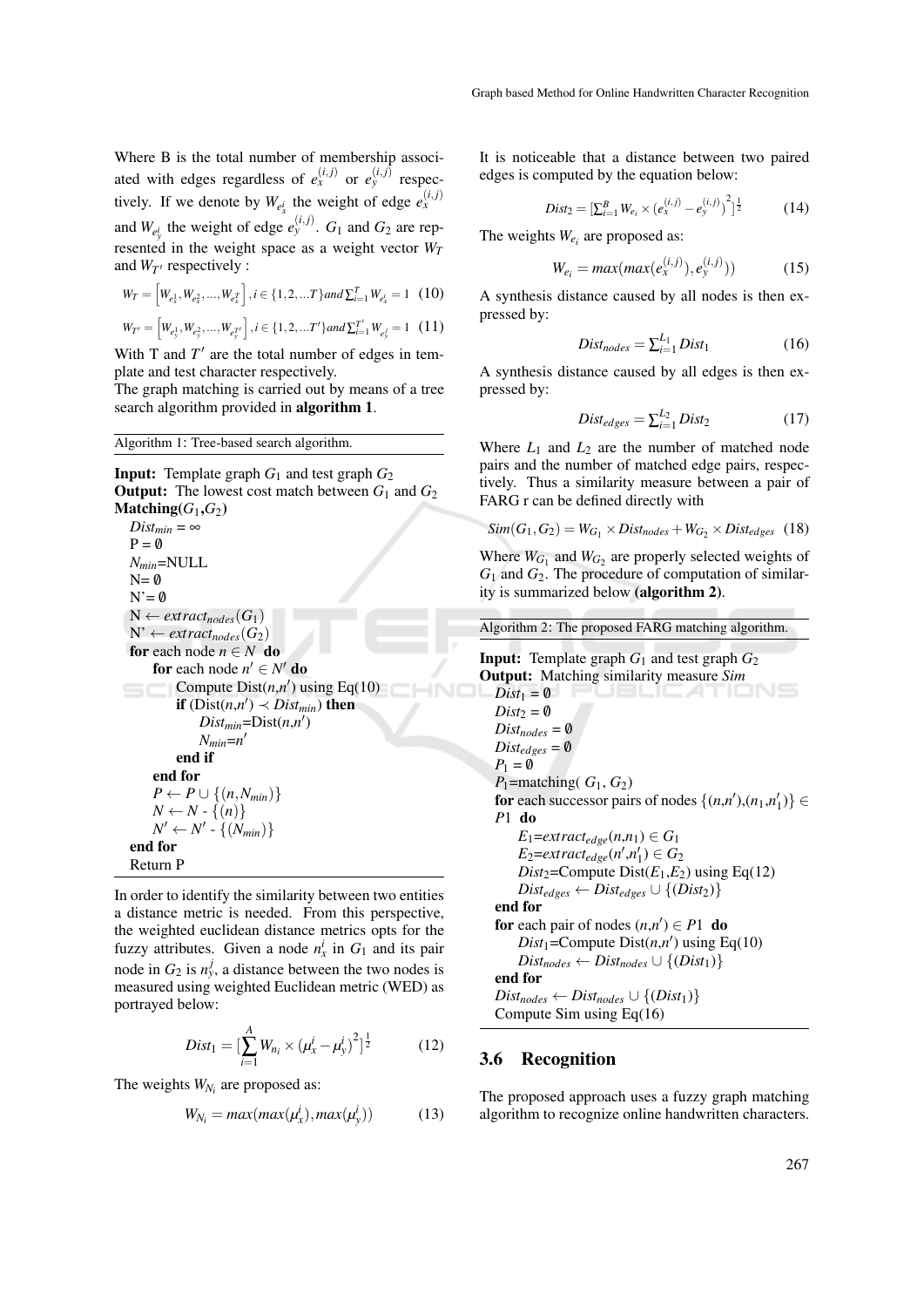Where B is the total number of membership associated with edges regardless of  $e_x^{(i,j)}$  or  $e_y^{(i,j)}$  respectively. If we denote by  $W_{e^i_x}$  the weight of edge  $e^{(i,j)}_x$ and  $W_{e_y^i}$  the weight of edge  $e_y^{(i,j)}$ .  $G_1$  and  $G_2$  are represented in the weight space as a weight vector  $W_T$ and  $W_{T}$  respectively :

$$
W_T = \left[W_{e_x^1}, W_{e_x^2}, \dots, W_{e_x^T}\right], i \in \{1, 2, \dots T\} and \sum_{i=1}^T W_{e_x^i} = 1 \quad (10)
$$

$$
W_{T'} = \left[W_{e_y^1}, W_{e_y^2}, \dots, W_{e_y^{T'}}\right], i \in \{1, 2, \dots T'\} \text{ and } \sum_{i=1}^{T'} W_{e_y^i} = 1 \quad (11)
$$

With  $T$  and  $T'$  are the total number of edges in template and test character respectively.

The graph matching is carried out by means of a tree search algorithm provided in algorithm 1.

Algorithm 1: Tree-based search algorithm.

**Input:** Template graph  $G_1$  and test graph  $G_2$ **Output:** The lowest cost match between  $G_1$  and  $G_2$ Matching( $G_1$ , $G_2$ )  $Dist_{min} = \infty$  $P = \emptyset$ *Nmin*=NULL  $N=$  0  $N' = \emptyset$  $N \leftarrow \text{extract}_{\text{nodes}}(G_1)$  $N' \leftarrow \text{extract}_{\text{nodes}}(G_2)$ for each node  $n \in N$  do for each node  $n' \in N'$  do Compute  $Dist(n,n')$  using Eq(10) **if**  $(Dist(n,n') \prec Dist_{min})$  then  $Dist_{min} = Dist(n,n')$ *Nmin*=*n* 0 end if end for  $P \leftarrow P \cup \{(n, N_{min})\}$  $N \leftarrow N - \{(n)\}\$  $N' \leftarrow N'$  -  $\{(N_{min})\}$ end for Return P

In order to identify the similarity between two entities a distance metric is needed. From this perspective, the weighted euclidean distance metrics opts for the fuzzy attributes. Given a node  $n_x^i$  in  $G_1$  and its pair node in  $G_2$  is  $n_y^j$ , a distance between the two nodes is measured using weighted Euclidean metric (WED) as portrayed below:

$$
Dist_1 = \left[\sum_{i=1}^{A} W_{n_i} \times (\mu_x^i - \mu_y^i)^2\right]^{\frac{1}{2}}
$$
 (12)

The weights  $W_{N_i}$  are proposed as:

$$
W_{N_i} = max(max(\mu_x^i), max(\mu_y^i))
$$
 (13)

It is noticeable that a distance between two paired edges is computed by the equation below:

$$
Dist_2 = \left[\sum_{i=1}^{B} W_{e_i} \times (e_x^{(i,j)} - e_y^{(i,j)})^2\right]^{\frac{1}{2}}
$$
(14)

The weights  $W_{e_i}$  are proposed as:

$$
W_{e_i} = max(max(e_x^{(i,j)}), e_y^{(i,j)}))
$$
 (15)

A synthesis distance caused by all nodes is then expressed by:

$$
Dist_{nodes} = \sum_{i=1}^{L_1} Dist_1
$$
 (16)

A synthesis distance caused by all edges is then expressed by:

$$
Dist_{edges} = \sum_{i=1}^{L_2} Dist_2
$$
 (17)

Where  $L_1$  and  $L_2$  are the number of matched node pairs and the number of matched edge pairs, respectively. Thus a similarity measure between a pair of FARG r can be defined directly with

$$
Sim(G_1, G_2) = W_{G_1} \times Dist_{nodes} + W_{G_2} \times Dist_{edges} \quad (18)
$$

Where  $W_{G_1}$  and  $W_{G_2}$  are properly selected weights of *G*<sup>1</sup> and *G*2. The procedure of computation of similarity is summarized below (algorithm 2).

Algorithm 2: The proposed FARG matching algorithm.

**Input:** Template graph  $G_1$  and test graph  $G_2$ Output: Matching similarity measure *Sim*  $Dist_1 = \emptyset$  $Dist_2 = \emptyset$  $Dist_{nodes} = \emptyset$  $Dist_{edges} = \emptyset$  $P_1 = \emptyset$ *P*<sub>1</sub>=matching( $G_1, G_2$ ) for each successor pairs of nodes  $\{(n,n'),(n_1,n'_1)\}\in$ *P*1 do  $E_1$ = $ext{ract}_{edge}(n,n_1) \in G_1$  $E_2 = \text{extract}_{\text{edge}}(n', n'_1) \in G_2$ *Dist*<sub>2</sub>=Compute Dist $(E_1, E_2)$  using Eq(12)  $Dist_{edges} \leftarrow Dist_{edges} \cup \{(Dist_2)\}$ end for for each pair of nodes  $(n,n') \in P1$  do  $Dist_1 = \text{Compute} \text{Dist}(n, n') \text{ using } Eq(10)$  $Dist_{nodes} \leftarrow Dist_{nodes} \cup \{(Dist_1)\}$ end for  $Dist_{nodes} \leftarrow Dist_{nodes} \cup \{(Dist_1)\}$ Compute Sim using Eq(16)

### 3.6 Recognition

The proposed approach uses a fuzzy graph matching algorithm to recognize online handwritten characters.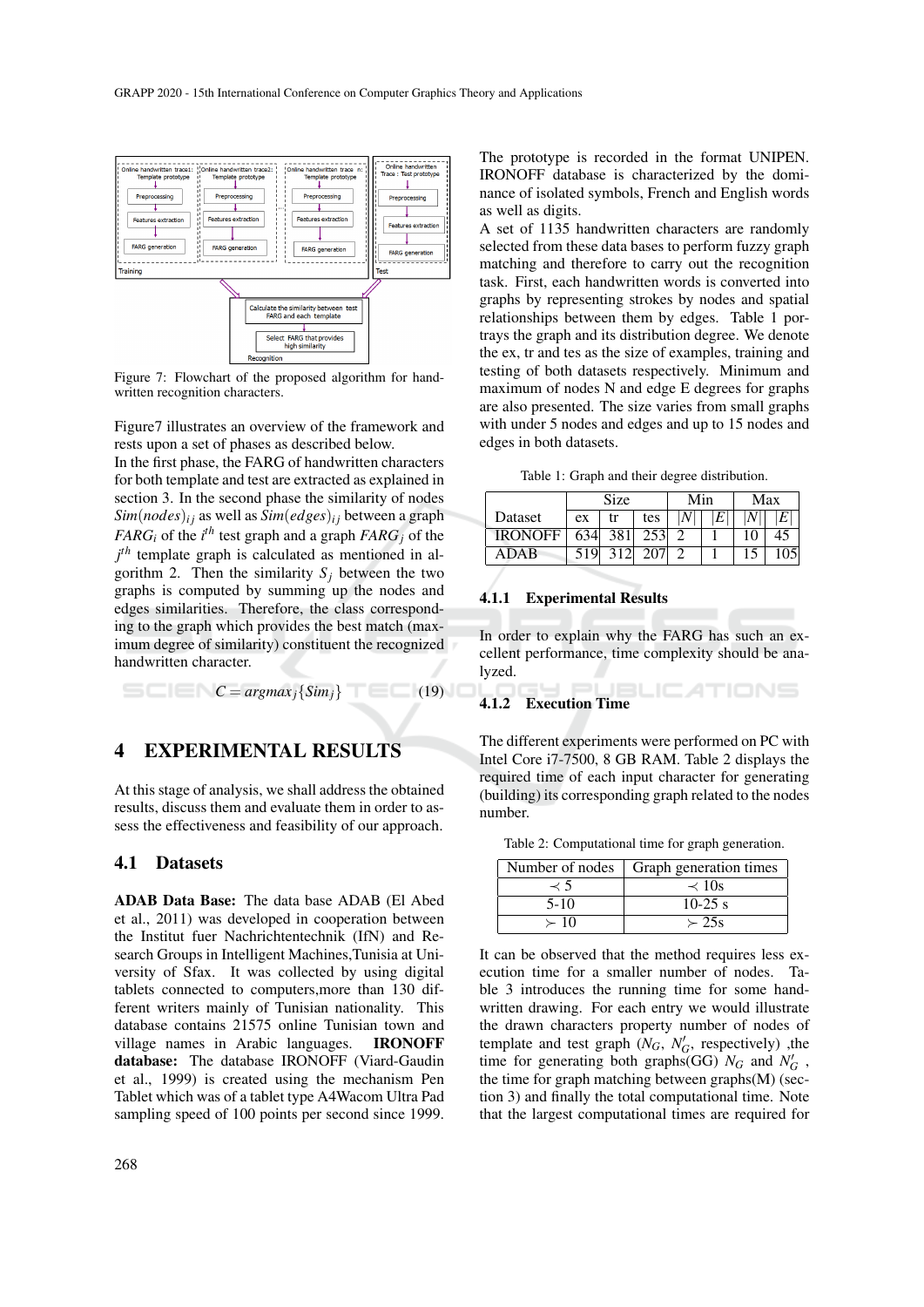

Figure 7: Flowchart of the proposed algorithm for handwritten recognition characters.

Figure7 illustrates an overview of the framework and rests upon a set of phases as described below.

In the first phase, the FARG of handwritten characters for both template and test are extracted as explained in section 3. In the second phase the similarity of nodes  $Sim(nodes)_{ij}$  as well as  $Sim(edges)_{ij}$  between a graph *FARG*<sup>*i*</sup> of the *i*<sup>th</sup> test graph and a graph *FARG*<sup>*j*</sup> of the *j th* template graph is calculated as mentioned in algorithm 2. Then the similarity  $S_j$  between the two graphs is computed by summing up the nodes and edges similarities. Therefore, the class corresponding to the graph which provides the best match (maximum degree of similarity) constituent the recognized handwritten character.

 $C = argmax_i \{Sim_i\}$  (19)

## 4 EXPERIMENTAL RESULTS

At this stage of analysis, we shall address the obtained results, discuss them and evaluate them in order to assess the effectiveness and feasibility of our approach.

### 4.1 Datasets

ADAB Data Base: The data base ADAB (El Abed et al., 2011) was developed in cooperation between the Institut fuer Nachrichtentechnik (IfN) and Research Groups in Intelligent Machines,Tunisia at University of Sfax. It was collected by using digital tablets connected to computers,more than 130 different writers mainly of Tunisian nationality. This database contains 21575 online Tunisian town and village names in Arabic languages. IRONOFF database: The database IRONOFF (Viard-Gaudin et al., 1999) is created using the mechanism Pen Tablet which was of a tablet type A4Wacom Ultra Pad sampling speed of 100 points per second since 1999.

The prototype is recorded in the format UNIPEN. IRONOFF database is characterized by the dominance of isolated symbols, French and English words as well as digits.

A set of 1135 handwritten characters are randomly selected from these data bases to perform fuzzy graph matching and therefore to carry out the recognition task. First, each handwritten words is converted into graphs by representing strokes by nodes and spatial relationships between them by edges. Table 1 portrays the graph and its distribution degree. We denote the ex, tr and tes as the size of examples, training and testing of both datasets respectively. Minimum and maximum of nodes N and edge E degrees for graphs are also presented. The size varies from small graphs with under 5 nodes and edges and up to 15 nodes and edges in both datasets.

Table 1: Graph and their degree distribution.

|                | Size |                  |     | Min |  | Max |  |
|----------------|------|------------------|-----|-----|--|-----|--|
| Dataset        | ex   | tr               | tes |     |  |     |  |
| <b>IRONOFF</b> | 634  | 381 <sup>1</sup> | 253 |     |  |     |  |
| <b>ADAR</b>    | 519  | 312 <sub>1</sub> |     |     |  |     |  |

#### 4.1.1 Experimental Results

In order to explain why the FARG has such an excellent performance, time complexity should be analyzed.

ATIONS

### 4.1.2 Execution Time

The different experiments were performed on PC with Intel Core i7-7500, 8 GB RAM. Table 2 displays the required time of each input character for generating (building) its corresponding graph related to the nodes number.

Table 2: Computational time for graph generation.

|            | Number of nodes   Graph generation times |  |  |
|------------|------------------------------------------|--|--|
| ≺ ב        | $\approx$ 10s                            |  |  |
| $5-10$     | $10-25$ s                                |  |  |
| $\succ$ 10 | $\succ$ 25s                              |  |  |

It can be observed that the method requires less execution time for a smaller number of nodes. Table 3 introduces the running time for some handwritten drawing. For each entry we would illustrate the drawn characters property number of nodes of template and test graph  $(N_G, N'_G,$  respectively) ,the time for generating both graphs(GG)  $N_G$  and  $N'_G$ , the time for graph matching between graphs(M) (section 3) and finally the total computational time. Note that the largest computational times are required for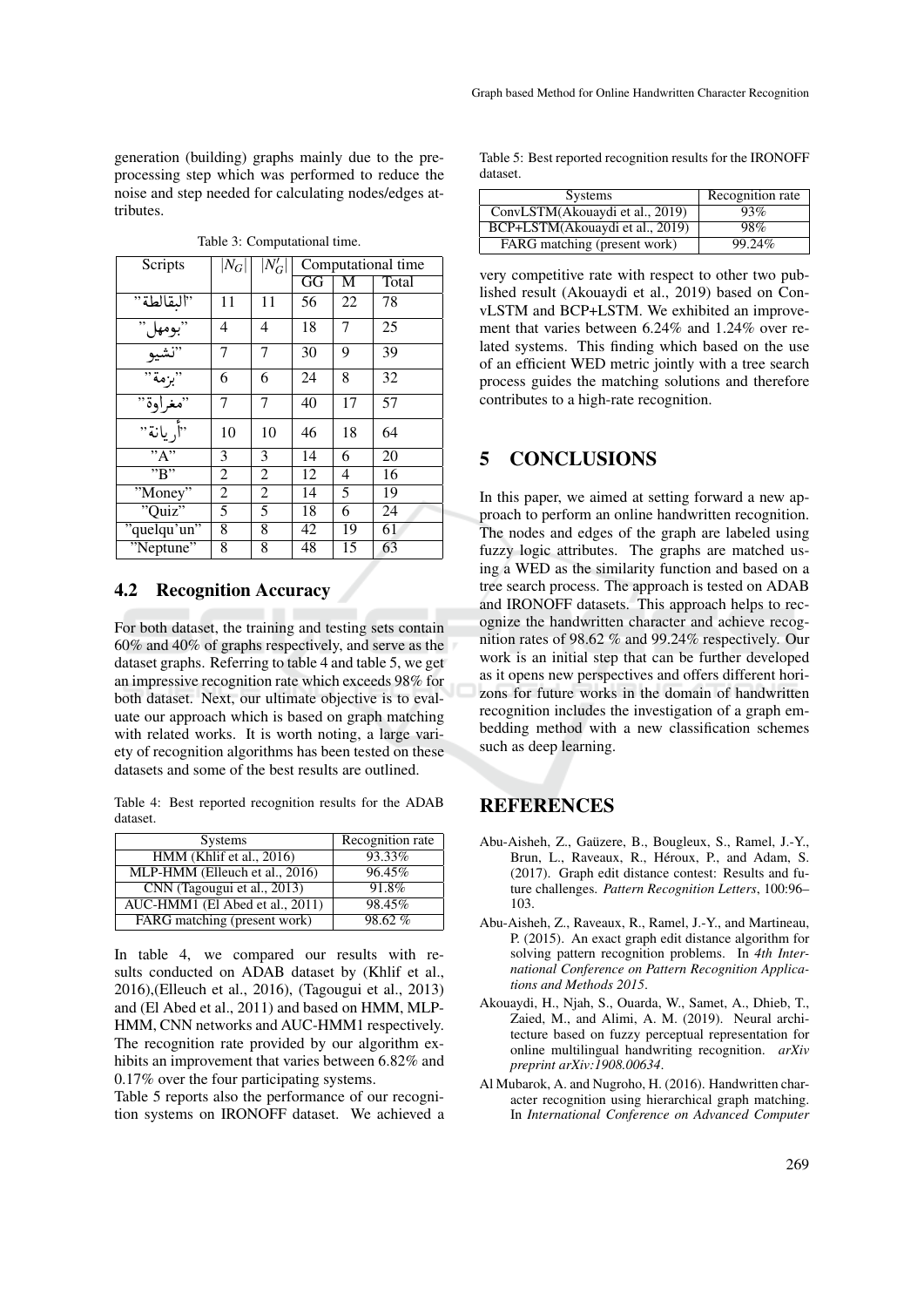generation (building) graphs mainly due to the preprocessing step which was performed to reduce the noise and step needed for calculating nodes/edges attributes.

| Scripts                     | $ N_G $ | $\vert N_G' \vert$ | Computational time |    |       |
|-----------------------------|---------|--------------------|--------------------|----|-------|
|                             |         |                    | GG                 | М  | Total |
| "البقالطة"                  | 11      | 11                 | 56                 | 22 | 78    |
| "بومهل"<br>"نشيو"<br>"بزمة" | 4       | 4                  | 18                 | 7  | 25    |
|                             | 7       | 7                  | 30                 | 9  | 39    |
|                             | 6       | 6                  | 24                 | 8  | 32    |
| "مغراوة"                    | 7       | 7                  | 40                 | 17 | 57    |
| .<br>"أريانة"               | 10      | 10                 | 46                 | 18 | 64    |
| $\overline{R''}$            | 3       | 3                  | 14                 | 6  | 20    |
| $\overline{B''}$            | 2       | $\overline{2}$     | 12                 | 4  | 16    |
| "Money"                     | 2       | 2                  | 14                 | 5  | 19    |
| "Quiz"                      | 5       | 5                  | 18                 | 6  | 24    |
| "quelqu'un"                 | 8       | 8                  | 42                 | 19 | 61    |
| "Neptune"                   | 8       | 8                  | 48                 | 15 | 63    |

Table 3: Computational time.

### 4.2 Recognition Accuracy

For both dataset, the training and testing sets contain 60% and 40% of graphs respectively, and serve as the dataset graphs. Referring to table 4 and table 5, we get an impressive recognition rate which exceeds 98% for both dataset. Next, our ultimate objective is to evaluate our approach which is based on graph matching with related works. It is worth noting, a large variety of recognition algorithms has been tested on these datasets and some of the best results are outlined.

Table 4: Best reported recognition results for the ADAB dataset.

| <b>Systems</b>                  | Recognition rate |
|---------------------------------|------------------|
| $HMM$ (Khlif et al., 2016)      | 93.33%           |
| MLP-HMM (Elleuch et al., 2016)  | 96.45%           |
| CNN (Tagougui et al., 2013)     | 91.8%            |
| AUC-HMM1 (El Abed et al., 2011) | 98.45%           |
| FARG matching (present work)    | 98.62%           |

In table 4, we compared our results with results conducted on ADAB dataset by (Khlif et al., 2016),(Elleuch et al., 2016), (Tagougui et al., 2013) and (El Abed et al., 2011) and based on HMM, MLP-HMM, CNN networks and AUC-HMM1 respectively. The recognition rate provided by our algorithm exhibits an improvement that varies between 6.82% and 0.17% over the four participating systems.

Table 5 reports also the performance of our recognition systems on IRONOFF dataset. We achieved a Table 5: Best reported recognition results for the IRONOFF dataset.

| <b>Systems</b>                  | Recognition rate |
|---------------------------------|------------------|
| ConvLSTM(Akouaydi et al., 2019) | 93%              |
| BCP+LSTM(Akouaydi et al., 2019) | 98%              |
| FARG matching (present work)    | 99.24%           |

very competitive rate with respect to other two published result (Akouaydi et al., 2019) based on ConvLSTM and BCP+LSTM. We exhibited an improvement that varies between 6.24% and 1.24% over related systems. This finding which based on the use of an efficient WED metric jointly with a tree search process guides the matching solutions and therefore contributes to a high-rate recognition.

## 5 CONCLUSIONS

In this paper, we aimed at setting forward a new approach to perform an online handwritten recognition. The nodes and edges of the graph are labeled using fuzzy logic attributes. The graphs are matched using a WED as the similarity function and based on a tree search process. The approach is tested on ADAB and IRONOFF datasets. This approach helps to recognize the handwritten character and achieve recognition rates of 98.62 % and 99.24% respectively. Our work is an initial step that can be further developed as it opens new perspectives and offers different horizons for future works in the domain of handwritten recognition includes the investigation of a graph embedding method with a new classification schemes such as deep learning.

## REFERENCES

- Abu-Aisheh, Z., Gauzere, B., Bougleux, S., Ramel, J.-Y., ¨ Brun, L., Raveaux, R., Héroux, P., and Adam, S. (2017). Graph edit distance contest: Results and future challenges. *Pattern Recognition Letters*, 100:96– 103.
- Abu-Aisheh, Z., Raveaux, R., Ramel, J.-Y., and Martineau, P. (2015). An exact graph edit distance algorithm for solving pattern recognition problems. In *4th International Conference on Pattern Recognition Applications and Methods 2015*.
- Akouaydi, H., Njah, S., Ouarda, W., Samet, A., Dhieb, T., Zaied, M., and Alimi, A. M. (2019). Neural architecture based on fuzzy perceptual representation for online multilingual handwriting recognition. *arXiv preprint arXiv:1908.00634*.
- Al Mubarok, A. and Nugroho, H. (2016). Handwritten character recognition using hierarchical graph matching. In *International Conference on Advanced Computer*